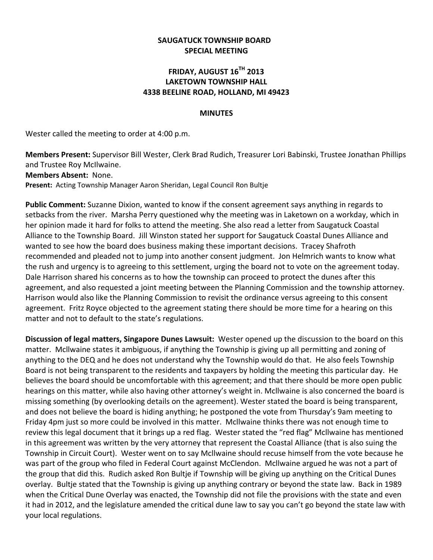## **SAUGATUCK TOWNSHIP BOARD SPECIAL MEETING**

## **FRIDAY, AUGUST 16TH 2013 LAKETOWN TOWNSHIP HALL 4338 BEELINE ROAD, HOLLAND, MI 49423**

## **MINUTES**

Wester called the meeting to order at 4:00 p.m.

**Members Present:** Supervisor Bill Wester, Clerk Brad Rudich, Treasurer Lori Babinski, Trustee Jonathan Phillips and Trustee Roy McIlwaine.

**Members Absent:** None.

**Present:** Acting Township Manager Aaron Sheridan, Legal Council Ron Bultje

**Public Comment:** Suzanne Dixion, wanted to know if the consent agreement says anything in regards to setbacks from the river. Marsha Perry questioned why the meeting was in Laketown on a workday, which in her opinion made it hard for folks to attend the meeting. She also read a letter from Saugatuck Coastal Alliance to the Township Board. Jill Winston stated her support for Saugatuck Coastal Dunes Alliance and wanted to see how the board does business making these important decisions. Tracey Shafroth recommended and pleaded not to jump into another consent judgment. Jon Helmrich wants to know what the rush and urgency is to agreeing to this settlement, urging the board not to vote on the agreement today. Dale Harrison shared his concerns as to how the township can proceed to protect the dunes after this agreement, and also requested a joint meeting between the Planning Commission and the township attorney. Harrison would also like the Planning Commission to revisit the ordinance versus agreeing to this consent agreement. Fritz Royce objected to the agreement stating there should be more time for a hearing on this matter and not to default to the state's regulations.

**Discussion of legal matters, Singapore Dunes Lawsuit:** Wester opened up the discussion to the board on this matter. Mcllwaine states it ambiguous, if anything the Township is giving up all permitting and zoning of anything to the DEQ and he does not understand why the Township would do that. He also feels Township Board is not being transparent to the residents and taxpayers by holding the meeting this particular day. He believes the board should be uncomfortable with this agreement; and that there should be more open public hearings on this matter, while also having other attorney's weight in. Mcllwaine is also concerned the board is missing something (by overlooking details on the agreement). Wester stated the board is being transparent, and does not believe the board is hiding anything; he postponed the vote from Thursday's 9am meeting to Friday 4pm just so more could be involved in this matter. Mcllwaine thinks there was not enough time to review this legal document that it brings up a red flag. Wester stated the "red flag" Mcllwaine has mentioned in this agreement was written by the very attorney that represent the Coastal Alliance (that is also suing the Township in Circuit Court). Wester went on to say Mcllwaine should recuse himself from the vote because he was part of the group who filed in Federal Court against McClendon. Mcllwaine argued he was not a part of the group that did this. Rudich asked Ron Bultje if Township will be giving up anything on the Critical Dunes overlay. Bultje stated that the Township is giving up anything contrary or beyond the state law. Back in 1989 when the Critical Dune Overlay was enacted, the Township did not file the provisions with the state and even it had in 2012, and the legislature amended the critical dune law to say you can't go beyond the state law with your local regulations.